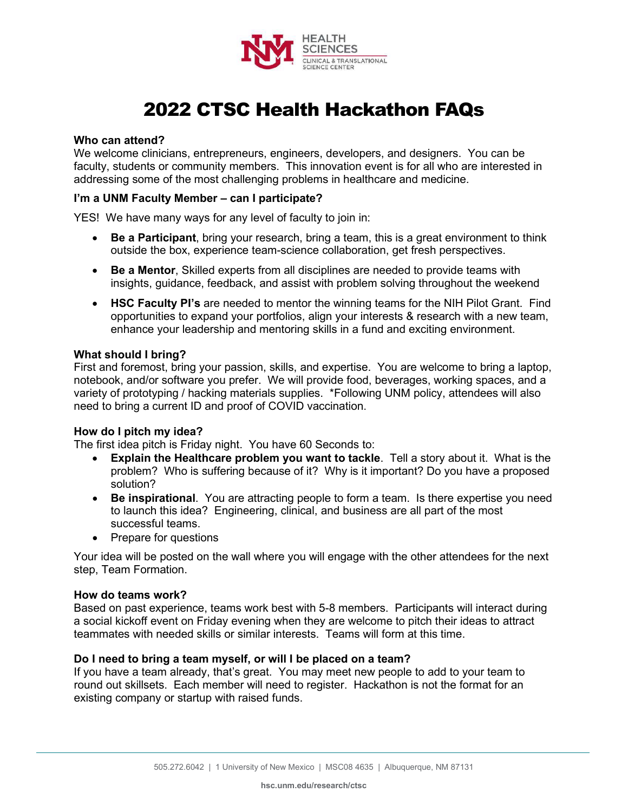

# 2022 CTSC Health Hackathon FAQs

# **Who can attend?**

We welcome clinicians, entrepreneurs, engineers, developers, and designers. You can be faculty, students or community members. This innovation event is for all who are interested in addressing some of the most challenging problems in healthcare and medicine.

#### **I'm a UNM Faculty Member – can I participate?**

YES! We have many ways for any level of faculty to join in:

- **Be a Participant**, bring your research, bring a team, this is a great environment to think outside the box, experience team-science collaboration, get fresh perspectives.
- **Be a Mentor**, Skilled experts from all disciplines are needed to provide teams with insights, guidance, feedback, and assist with problem solving throughout the weekend
- **HSC Faculty PI's** are needed to mentor the winning teams for the NIH Pilot Grant. Find opportunities to expand your portfolios, align your interests & research with a new team, enhance your leadership and mentoring skills in a fund and exciting environment.

## **What should I bring?**

First and foremost, bring your passion, skills, and expertise. You are welcome to bring a laptop, notebook, and/or software you prefer. We will provide food, beverages, working spaces, and a variety of prototyping / hacking materials supplies. \*Following UNM policy, attendees will also need to bring a current ID and proof of COVID vaccination.

## **How do I pitch my idea?**

The first idea pitch is Friday night. You have 60 Seconds to:

- **Explain the Healthcare problem you want to tackle**. Tell a story about it. What is the problem? Who is suffering because of it? Why is it important? Do you have a proposed solution?
- **Be inspirational**. You are attracting people to form a team. Is there expertise you need to launch this idea? Engineering, clinical, and business are all part of the most successful teams.
- Prepare for questions

Your idea will be posted on the wall where you will engage with the other attendees for the next step, Team Formation.

## **How do teams work?**

Based on past experience, teams work best with 5-8 members. Participants will interact during a social kickoff event on Friday evening when they are welcome to pitch their ideas to attract teammates with needed skills or similar interests. Teams will form at this time.

#### **Do I need to bring a team myself, or will I be placed on a team?**

If you have a team already, that's great. You may meet new people to add to your team to round out skillsets. Each member will need to register. Hackathon is not the format for an existing company or startup with raised funds.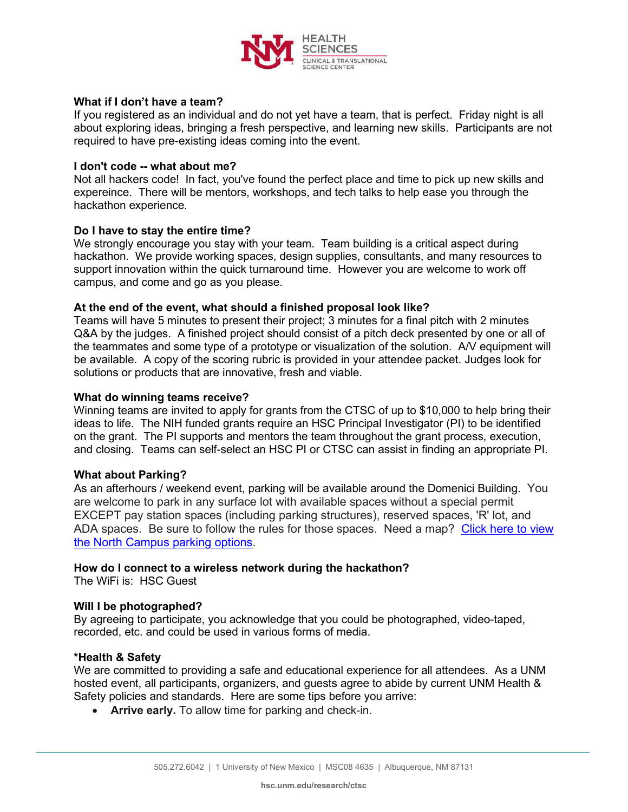

# **What if I don't have a team?**

If you registered as an individual and do not yet have a team, that is perfect. Friday night is all about exploring ideas, bringing a fresh perspective, and learning new skills. Participants are not required to have pre-existing ideas coming into the event.

## **I don't code -- what about me?**

Not all hackers code! In fact, you've found the perfect place and time to pick up new skills and expereince. There will be mentors, workshops, and tech talks to help ease you through the hackathon experience.

## **Do I have to stay the entire time?**

We strongly encourage you stay with your team. Team building is a critical aspect during hackathon. We provide working spaces, design supplies, consultants, and many resources to support innovation within the quick turnaround time. However you are welcome to work off campus, and come and go as you please.

## **At the end of the event, what should a finished proposal look like?**

Teams will have 5 minutes to present their project; 3 minutes for a final pitch with 2 minutes Q&A by the judges. A finished project should consist of a pitch deck presented by one or all of the teammates and some type of a prototype or visualization of the solution. A/V equipment will be available. A copy of the scoring rubric is provided in your attendee packet. Judges look for solutions or products that are innovative, fresh and viable.

## **What do winning teams receive?**

Winning teams are invited to apply for grants from the CTSC of up to \$10,000 to help bring their ideas to life. The NIH funded grants require an HSC Principal Investigator (PI) to be identified on the grant. The PI supports and mentors the team throughout the grant process, execution, and closing. Teams can self-select an HSC PI or CTSC can assist in finding an appropriate PI.

## **What about Parking?**

As an afterhours / weekend event, parking will be available around the Domenici Building. You are welcome to park in any surface lot with available spaces without a special permit EXCEPT pay station spaces (including parking structures), reserved spaces, 'R' lot, and ADA spaces. Be sure to follow the rules for those spaces. Need a map? [Click here to view](https://pats.unm.edu/maps/parking-zone-maps-folder/m-zone-map-2021.png)  [the North Campus parking options.](https://pats.unm.edu/maps/parking-zone-maps-folder/m-zone-map-2021.png)

#### **How do I connect to a wireless network during the hackathon?**

The WiFi is: HSC Guest

## **Will I be photographed?**

By agreeing to participate, you acknowledge that you could be photographed, video-taped, recorded, etc. and could be used in various forms of media.

## **\*Health & Safety**

We are committed to providing a safe and educational experience for all attendees. As a UNM hosted event, all participants, organizers, and guests agree to abide by current UNM Health & Safety policies and standards. Here are some tips before you arrive:

• **Arrive early.** To allow time for parking and check-in.